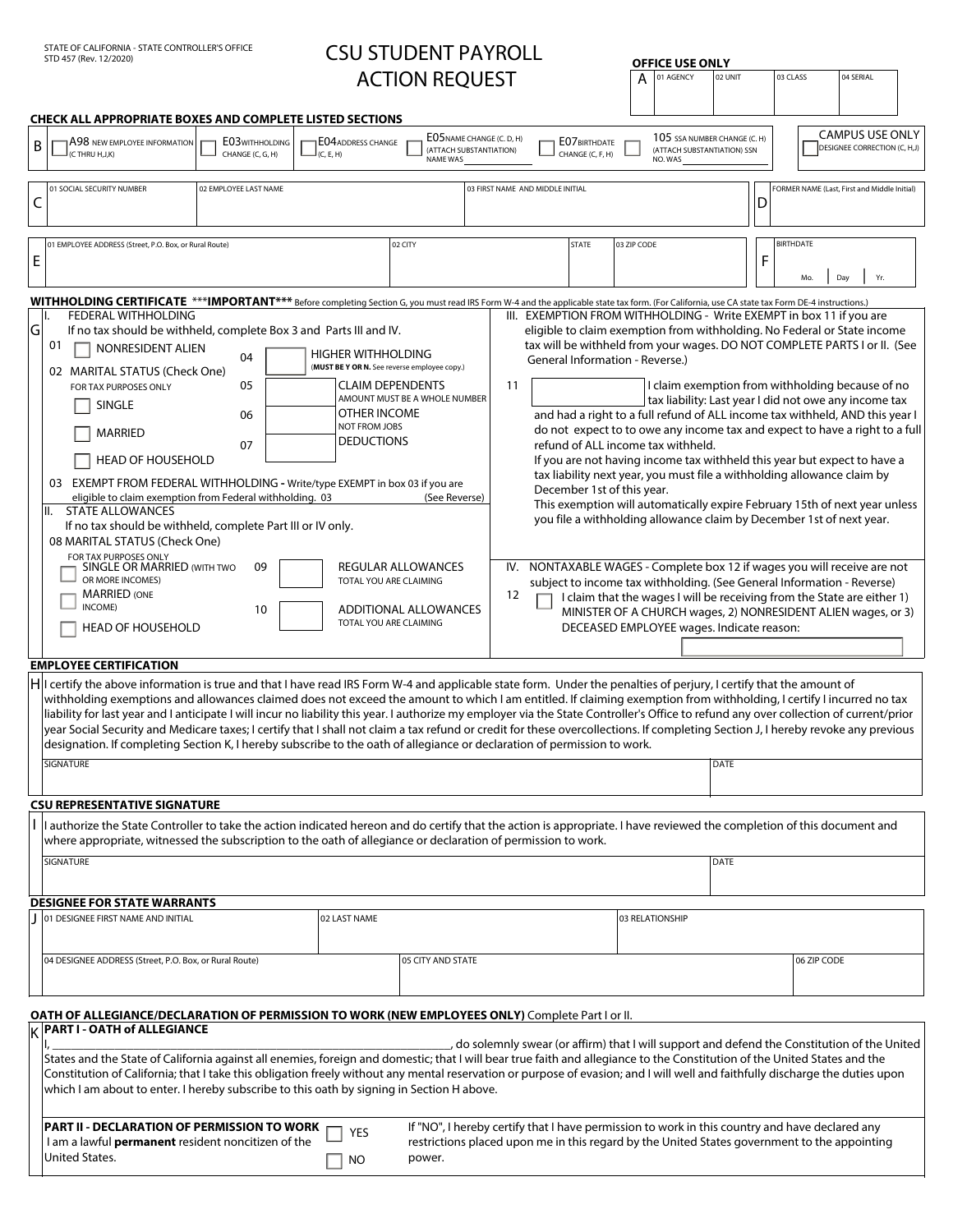# STATE OF CALIFORNIA - STATE CONTROLLER'S OFFICE **STATE CONTROLL STOUS STATE OF CONTROLL**

**OFFICE USE ONLY**

|                                                                                                                                                                                                                                                                      | <b>ACTION REQUEST</b><br>03 CLASS<br>01 AGENCY<br>02 UNIT<br>04 SERIAL<br>А                                                                                                                                                                                                                                                                                                                                                                                                                                                                                                                                                                                                                                                                                                                                                                                          |                                                                                                                                                                                                                                                              |                                                                            |                                                                        |                                                                                                                                                                                                                                                                                                                                                                                                                                                                                                                                                                                                                                                                                                                                                                                                                                                                                                      |  |  |
|----------------------------------------------------------------------------------------------------------------------------------------------------------------------------------------------------------------------------------------------------------------------|----------------------------------------------------------------------------------------------------------------------------------------------------------------------------------------------------------------------------------------------------------------------------------------------------------------------------------------------------------------------------------------------------------------------------------------------------------------------------------------------------------------------------------------------------------------------------------------------------------------------------------------------------------------------------------------------------------------------------------------------------------------------------------------------------------------------------------------------------------------------|--------------------------------------------------------------------------------------------------------------------------------------------------------------------------------------------------------------------------------------------------------------|----------------------------------------------------------------------------|------------------------------------------------------------------------|------------------------------------------------------------------------------------------------------------------------------------------------------------------------------------------------------------------------------------------------------------------------------------------------------------------------------------------------------------------------------------------------------------------------------------------------------------------------------------------------------------------------------------------------------------------------------------------------------------------------------------------------------------------------------------------------------------------------------------------------------------------------------------------------------------------------------------------------------------------------------------------------------|--|--|
|                                                                                                                                                                                                                                                                      | CHECK ALL APPROPRIATE BOXES AND COMPLETE LISTED SECTIONS                                                                                                                                                                                                                                                                                                                                                                                                                                                                                                                                                                                                                                                                                                                                                                                                             |                                                                                                                                                                                                                                                              |                                                                            |                                                                        |                                                                                                                                                                                                                                                                                                                                                                                                                                                                                                                                                                                                                                                                                                                                                                                                                                                                                                      |  |  |
| В                                                                                                                                                                                                                                                                    | A98 NEW EMPLOYEE INFORMATION<br><b>EO3WITHHOLDING</b><br>(C THRU H,J,K)<br>CHANGE (C, G, H)                                                                                                                                                                                                                                                                                                                                                                                                                                                                                                                                                                                                                                                                                                                                                                          | <b>EO4ADDRESS CHANGE</b><br>(ATTACH SUBSTANTIATION)<br>(C, E, H)<br><b>NAME WAS</b>                                                                                                                                                                          | EO5NAME CHANGE (C. D, H)<br>E07 BIRTHDATE<br>CHANGE (C. F. H)              | 105 SSA NUMBER CHANGE (C. H)<br>(ATTACH SUBSTANTIATION) SSN<br>NO. WAS | <b>CAMPUS USE ONLY</b><br>DESIGNEE CORRECTION (C, H,J)                                                                                                                                                                                                                                                                                                                                                                                                                                                                                                                                                                                                                                                                                                                                                                                                                                               |  |  |
| C                                                                                                                                                                                                                                                                    | 01 SOCIAL SECURITY NUMBER<br>02 EMPLOYEE LAST NAME                                                                                                                                                                                                                                                                                                                                                                                                                                                                                                                                                                                                                                                                                                                                                                                                                   |                                                                                                                                                                                                                                                              | 03 FIRST NAME AND MIDDLE INITIAL                                           |                                                                        | FORMER NAME (Last, First and Middle Initial)<br>D                                                                                                                                                                                                                                                                                                                                                                                                                                                                                                                                                                                                                                                                                                                                                                                                                                                    |  |  |
|                                                                                                                                                                                                                                                                      | 01 EMPLOYEE ADDRESS (Street, P.O. Box, or Rural Route)                                                                                                                                                                                                                                                                                                                                                                                                                                                                                                                                                                                                                                                                                                                                                                                                               | 02 CITY                                                                                                                                                                                                                                                      | <b>STATE</b>                                                               | 03 ZIP CODE                                                            | <b>BIRTHDATE</b>                                                                                                                                                                                                                                                                                                                                                                                                                                                                                                                                                                                                                                                                                                                                                                                                                                                                                     |  |  |
| Е                                                                                                                                                                                                                                                                    |                                                                                                                                                                                                                                                                                                                                                                                                                                                                                                                                                                                                                                                                                                                                                                                                                                                                      |                                                                                                                                                                                                                                                              |                                                                            |                                                                        | F<br>Yr.<br>Day<br>Mo                                                                                                                                                                                                                                                                                                                                                                                                                                                                                                                                                                                                                                                                                                                                                                                                                                                                                |  |  |
| WITHHOLDING CERTIFICATE ***IMPORTANT*** Before completing Section G, you must read IRS Form W-4 and the applicable state tax form. (For California, use CA state tax Form DE-4 instructions.)<br>III. EXEMPTION FROM WITHHOLDING - Write EXEMPT in box 11 if you are |                                                                                                                                                                                                                                                                                                                                                                                                                                                                                                                                                                                                                                                                                                                                                                                                                                                                      |                                                                                                                                                                                                                                                              |                                                                            |                                                                        |                                                                                                                                                                                                                                                                                                                                                                                                                                                                                                                                                                                                                                                                                                                                                                                                                                                                                                      |  |  |
| lG                                                                                                                                                                                                                                                                   | FEDERAL WITHHOLDING<br>If no tax should be withheld, complete Box 3 and Parts III and IV.<br>01<br>NONRESIDENT ALIEN<br>04<br>02 MARITAL STATUS (Check One)<br>05<br>FOR TAX PURPOSES ONLY<br>SINGLE<br>06<br><b>MARRIED</b><br>07<br><b>HEAD OF HOUSEHOLD</b><br>EXEMPT FROM FEDERAL WITHHOLDING - Write/type EXEMPT in box 03 if you are<br>03<br>eligible to claim exemption from Federal withholding. 03<br><b>STATE ALLOWANCES</b><br>II.<br>If no tax should be withheld, complete Part III or IV only.<br>08 MARITAL STATUS (Check One)<br>FOR TAX PURPOSES ONLY<br><b>SINGLE OR MARRIED (WITH TWO</b><br>09<br>OR MORE INCOMES)                                                                                                                                                                                                                              | HIGHER WITHHOLDING<br>(MUST BE Y OR N. See reverse employee copy.)<br><b>CLAIM DEPENDENTS</b><br>AMOUNT MUST BE A WHOLE NUMBER<br>OTHER INCOME<br><b>NOT FROM JOBS</b><br><b>DEDUCTIONS</b><br>(See Reverse)<br>REGULAR ALLOWANCES<br>TOTAL YOU ARE CLAIMING | <b>General Information - Reverse.)</b><br>11<br>December 1st of this year. | refund of ALL income tax withheld.                                     | eligible to claim exemption from withholding. No Federal or State income<br>tax will be withheld from your wages. DO NOT COMPLETE PARTS I or II. (See<br>I claim exemption from withholding because of no<br>tax liability: Last year I did not owe any income tax<br>and had a right to a full refund of ALL income tax withheld, AND this year I<br>do not expect to to owe any income tax and expect to have a right to a full<br>If you are not having income tax withheld this year but expect to have a<br>tax liability next year, you must file a withholding allowance claim by<br>This exemption will automatically expire February 15th of next year unless<br>you file a withholding allowance claim by December 1st of next year.<br>IV. NONTAXABLE WAGES - Complete box 12 if wages you will receive are not<br>subject to income tax withholding. (See General Information - Reverse) |  |  |
|                                                                                                                                                                                                                                                                      | <b>MARRIED (ONE</b><br>INCOME)<br>10<br><b>HEAD OF HOUSEHOLD</b>                                                                                                                                                                                                                                                                                                                                                                                                                                                                                                                                                                                                                                                                                                                                                                                                     | <b>ADDITIONAL ALLOWANCES</b><br>TOTAL YOU ARE CLAIMING                                                                                                                                                                                                       | 12                                                                         | DECEASED EMPLOYEE wages. Indicate reason:                              | I claim that the wages I will be receiving from the State are either 1)<br>MINISTER OF A CHURCH wages, 2) NONRESIDENT ALIEN wages, or 3)<br>$\blacktriangledown$                                                                                                                                                                                                                                                                                                                                                                                                                                                                                                                                                                                                                                                                                                                                     |  |  |
| <b>EMPLOYEE CERTIFICATION</b>                                                                                                                                                                                                                                        |                                                                                                                                                                                                                                                                                                                                                                                                                                                                                                                                                                                                                                                                                                                                                                                                                                                                      |                                                                                                                                                                                                                                                              |                                                                            |                                                                        |                                                                                                                                                                                                                                                                                                                                                                                                                                                                                                                                                                                                                                                                                                                                                                                                                                                                                                      |  |  |
|                                                                                                                                                                                                                                                                      | $ {\mathsf H} $ l certify the above information is true and that I have read IRS Form W-4 and applicable state form. Under the penalties of perjury, I certify that the amount of<br>withholding exemptions and allowances claimed does not exceed the amount to which I am entitled. If claiming exemption from withholding, I certify I incurred no tax<br>liability for last year and I anticipate I will incur no liability this year. I authorize my employer via the State Controller's Office to refund any over collection of current/prior<br>year Social Security and Medicare taxes; I certify that I shall not claim a tax refund or credit for these overcollections. If completing Section J, I hereby revoke any previous<br>designation. If completing Section K, I hereby subscribe to the oath of allegiance or declaration of permission to work. |                                                                                                                                                                                                                                                              |                                                                            |                                                                        |                                                                                                                                                                                                                                                                                                                                                                                                                                                                                                                                                                                                                                                                                                                                                                                                                                                                                                      |  |  |
|                                                                                                                                                                                                                                                                      | <b>SIGNATURE</b>                                                                                                                                                                                                                                                                                                                                                                                                                                                                                                                                                                                                                                                                                                                                                                                                                                                     |                                                                                                                                                                                                                                                              |                                                                            |                                                                        | DATE                                                                                                                                                                                                                                                                                                                                                                                                                                                                                                                                                                                                                                                                                                                                                                                                                                                                                                 |  |  |
|                                                                                                                                                                                                                                                                      |                                                                                                                                                                                                                                                                                                                                                                                                                                                                                                                                                                                                                                                                                                                                                                                                                                                                      |                                                                                                                                                                                                                                                              |                                                                            |                                                                        |                                                                                                                                                                                                                                                                                                                                                                                                                                                                                                                                                                                                                                                                                                                                                                                                                                                                                                      |  |  |
|                                                                                                                                                                                                                                                                      | <b>CSU REPRESENTATIVE SIGNATURE</b><br>I authorize the State Controller to take the action indicated hereon and do certify that the action is appropriate. I have reviewed the completion of this document and<br>where appropriate, witnessed the subscription to the oath of allegiance or declaration of permission to work.                                                                                                                                                                                                                                                                                                                                                                                                                                                                                                                                      |                                                                                                                                                                                                                                                              |                                                                            |                                                                        |                                                                                                                                                                                                                                                                                                                                                                                                                                                                                                                                                                                                                                                                                                                                                                                                                                                                                                      |  |  |
|                                                                                                                                                                                                                                                                      | <b>SIGNATURE</b>                                                                                                                                                                                                                                                                                                                                                                                                                                                                                                                                                                                                                                                                                                                                                                                                                                                     |                                                                                                                                                                                                                                                              |                                                                            |                                                                        | DATE                                                                                                                                                                                                                                                                                                                                                                                                                                                                                                                                                                                                                                                                                                                                                                                                                                                                                                 |  |  |
|                                                                                                                                                                                                                                                                      | <b>DESIGNEE FOR STATE WARRANTS</b>                                                                                                                                                                                                                                                                                                                                                                                                                                                                                                                                                                                                                                                                                                                                                                                                                                   |                                                                                                                                                                                                                                                              |                                                                            |                                                                        |                                                                                                                                                                                                                                                                                                                                                                                                                                                                                                                                                                                                                                                                                                                                                                                                                                                                                                      |  |  |
|                                                                                                                                                                                                                                                                      | 01 DESIGNEE FIRST NAME AND INITIAL                                                                                                                                                                                                                                                                                                                                                                                                                                                                                                                                                                                                                                                                                                                                                                                                                                   | 02 LAST NAME                                                                                                                                                                                                                                                 |                                                                            | 03 RELATIONSHIP                                                        |                                                                                                                                                                                                                                                                                                                                                                                                                                                                                                                                                                                                                                                                                                                                                                                                                                                                                                      |  |  |
|                                                                                                                                                                                                                                                                      | 04 DESIGNEE ADDRESS (Street, P.O. Box, or Rural Route)                                                                                                                                                                                                                                                                                                                                                                                                                                                                                                                                                                                                                                                                                                                                                                                                               | 05 CITY AND STATE                                                                                                                                                                                                                                            |                                                                            |                                                                        | 06 ZIP CODE                                                                                                                                                                                                                                                                                                                                                                                                                                                                                                                                                                                                                                                                                                                                                                                                                                                                                          |  |  |
| ΙK                                                                                                                                                                                                                                                                   | OATH OF ALLEGIANCE/DECLARATION OF PERMISSION TO WORK (NEW EMPLOYEES ONLY) Complete Part I or II.<br><b>PART I - OATH of ALLEGIANCE</b>                                                                                                                                                                                                                                                                                                                                                                                                                                                                                                                                                                                                                                                                                                                               |                                                                                                                                                                                                                                                              |                                                                            |                                                                        |                                                                                                                                                                                                                                                                                                                                                                                                                                                                                                                                                                                                                                                                                                                                                                                                                                                                                                      |  |  |
|                                                                                                                                                                                                                                                                      | do solemnly swear (or affirm) that I will support and defend the Constitution of the United<br>States and the State of California against all enemies, foreign and domestic; that I will bear true faith and allegiance to the Constitution of the United States and the<br>Constitution of California; that I take this obligation freely without any mental reservation or purpose of evasion; and I will well and faithfully discharge the duties upon<br>which I am about to enter. I hereby subscribe to this oath by signing in Section H above.                                                                                                                                                                                                                                                                                                               |                                                                                                                                                                                                                                                              |                                                                            |                                                                        |                                                                                                                                                                                                                                                                                                                                                                                                                                                                                                                                                                                                                                                                                                                                                                                                                                                                                                      |  |  |
|                                                                                                                                                                                                                                                                      | <b>PART II - DECLARATION OF PERMISSION TO WORK</b><br>I am a lawful <b>permanent</b> resident noncitizen of the<br>United States.                                                                                                                                                                                                                                                                                                                                                                                                                                                                                                                                                                                                                                                                                                                                    | <b>YES</b><br>power.<br>NO.                                                                                                                                                                                                                                  |                                                                            |                                                                        | If "NO", I hereby certify that I have permission to work in this country and have declared any<br>restrictions placed upon me in this regard by the United States government to the appointing                                                                                                                                                                                                                                                                                                                                                                                                                                                                                                                                                                                                                                                                                                       |  |  |